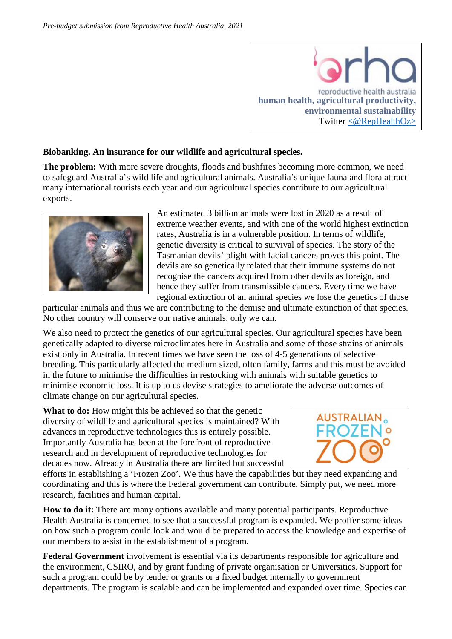

## **Biobanking. An insurance for our wildlife and agricultural species.**

**The problem:** With more severe droughts, floods and bushfires becoming more common, we need to safeguard Australia's wild life and agricultural animals. Australia's unique fauna and flora attract many international tourists each year and our agricultural species contribute to our agricultural exports.



An estimated 3 billion animals were lost in 2020 as a result of extreme weather events, and with one of the world highest extinction rates, Australia is in a vulnerable position. In terms of wildlife, genetic diversity is critical to survival of species. The story of the Tasmanian devils' plight with facial cancers proves this point. The devils are so genetically related that their immune systems do not recognise the cancers acquired from other devils as foreign, and hence they suffer from transmissible cancers. Every time we have regional extinction of an animal species we lose the genetics of those

particular animals and thus we are contributing to the demise and ultimate extinction of that species. No other country will conserve our native animals, only we can.

We also need to protect the genetics of our agricultural species. Our agricultural species have been genetically adapted to diverse microclimates here in Australia and some of those strains of animals exist only in Australia. In recent times we have seen the loss of 4-5 generations of selective breeding. This particularly affected the medium sized, often family, farms and this must be avoided in the future to minimise the difficulties in restocking with animals with suitable genetics to minimise economic loss. It is up to us devise strategies to ameliorate the adverse outcomes of climate change on our agricultural species.

**What to do:** How might this be achieved so that the genetic diversity of wildlife and agricultural species is maintained? With advances in reproductive technologies this is entirely possible. Importantly Australia has been at the forefront of reproductive research and in development of reproductive technologies for decades now. Already in Australia there are limited but successful



efforts in establishing a 'Frozen Zoo'. We thus have the capabilities but they need expanding and coordinating and this is where the Federal government can contribute. Simply put, we need more research, facilities and human capital.

**How to do it:** There are many options available and many potential participants. Reproductive Health Australia is concerned to see that a successful program is expanded. We proffer some ideas on how such a program could look and would be prepared to access the knowledge and expertise of our members to assist in the establishment of a program.

**Federal Government** involvement is essential via its departments responsible for agriculture and the environment, CSIRO, and by grant funding of private organisation or Universities. Support for such a program could be by tender or grants or a fixed budget internally to government departments. The program is scalable and can be implemented and expanded over time. Species can